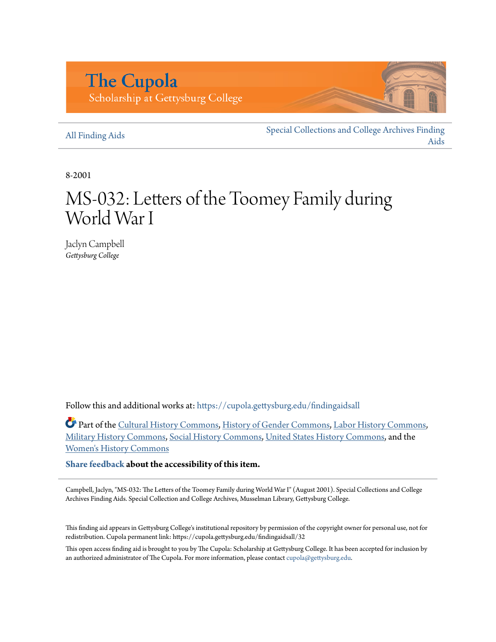## **The Cupola** Scholarship at Gettysburg College

## [All Finding Aids](https://cupola.gettysburg.edu/findingaidsall?utm_source=cupola.gettysburg.edu%2Ffindingaidsall%2F32&utm_medium=PDF&utm_campaign=PDFCoverPages)

[Special Collections and College Archives Finding](https://cupola.gettysburg.edu/findingaids?utm_source=cupola.gettysburg.edu%2Ffindingaidsall%2F32&utm_medium=PDF&utm_campaign=PDFCoverPages) [Aids](https://cupola.gettysburg.edu/findingaids?utm_source=cupola.gettysburg.edu%2Ffindingaidsall%2F32&utm_medium=PDF&utm_campaign=PDFCoverPages)

8-2001

# MS-032: Letters of the Toomey Family during World War I

Jaclyn Campbell *Gettysburg College*

Follow this and additional works at: [https://cupola.gettysburg.edu/findingaidsall](https://cupola.gettysburg.edu/findingaidsall?utm_source=cupola.gettysburg.edu%2Ffindingaidsall%2F32&utm_medium=PDF&utm_campaign=PDFCoverPages)

Part of the [Cultural History Commons,](http://network.bepress.com/hgg/discipline/496?utm_source=cupola.gettysburg.edu%2Ffindingaidsall%2F32&utm_medium=PDF&utm_campaign=PDFCoverPages) [History of Gender Commons](http://network.bepress.com/hgg/discipline/498?utm_source=cupola.gettysburg.edu%2Ffindingaidsall%2F32&utm_medium=PDF&utm_campaign=PDFCoverPages), [Labor History Commons](http://network.bepress.com/hgg/discipline/1254?utm_source=cupola.gettysburg.edu%2Ffindingaidsall%2F32&utm_medium=PDF&utm_campaign=PDFCoverPages), [Military History Commons](http://network.bepress.com/hgg/discipline/504?utm_source=cupola.gettysburg.edu%2Ffindingaidsall%2F32&utm_medium=PDF&utm_campaign=PDFCoverPages), [Social History Commons](http://network.bepress.com/hgg/discipline/506?utm_source=cupola.gettysburg.edu%2Ffindingaidsall%2F32&utm_medium=PDF&utm_campaign=PDFCoverPages), [United States History Commons,](http://network.bepress.com/hgg/discipline/495?utm_source=cupola.gettysburg.edu%2Ffindingaidsall%2F32&utm_medium=PDF&utm_campaign=PDFCoverPages) and the [Women's History Commons](http://network.bepress.com/hgg/discipline/507?utm_source=cupola.gettysburg.edu%2Ffindingaidsall%2F32&utm_medium=PDF&utm_campaign=PDFCoverPages)

**[Share feedback](https://docs.google.com/a/bepress.com/forms/d/1h9eEcpBPj5POs5oO6Y5A0blXRmZqykoonyYiZUNyEq8/viewform) about the accessibility of this item.**

Campbell, Jaclyn, "MS-032: The Letters of the Toomey Family during World War I" (August 2001). Special Collections and College Archives Finding Aids. Special Collection and College Archives, Musselman Library, Gettysburg College.

This finding aid appears in Gettysburg College's institutional repository by permission of the copyright owner for personal use, not for redistribution. Cupola permanent link: https://cupola.gettysburg.edu/findingaidsall/32

This open access finding aid is brought to you by The Cupola: Scholarship at Gettysburg College. It has been accepted for inclusion by an authorized administrator of The Cupola. For more information, please contact [cupola@gettysburg.edu](mailto:cupola@gettysburg.edu).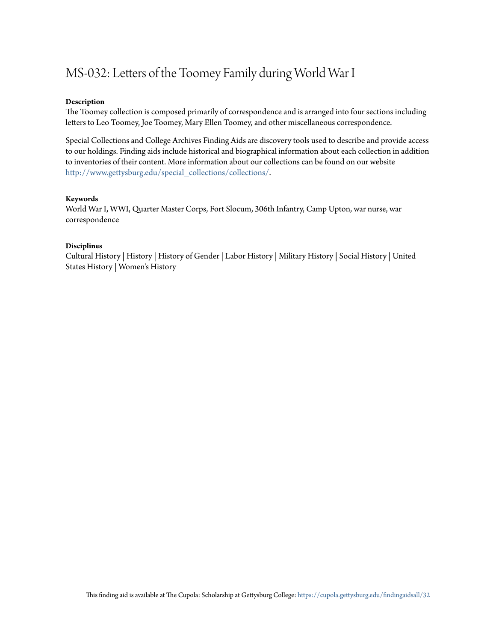## MS-032: Letters of the Toomey Family during World War I

### **Description**

The Toomey collection is composed primarily of correspondence and is arranged into four sections including letters to Leo Toomey, Joe Toomey, Mary Ellen Toomey, and other miscellaneous correspondence.

Special Collections and College Archives Finding Aids are discovery tools used to describe and provide access to our holdings. Finding aids include historical and biographical information about each collection in addition to inventories of their content. More information about our collections can be found on our website [http://www.gettysburg.edu/special\\_collections/collections/](http://www.gettysburg.edu/special_collections/collections/).

### **Keywords**

World War I, WWI, Quarter Master Corps, Fort Slocum, 306th Infantry, Camp Upton, war nurse, war correspondence

### **Disciplines**

Cultural History | History | History of Gender | Labor History | Military History | Social History | United States History | Women's History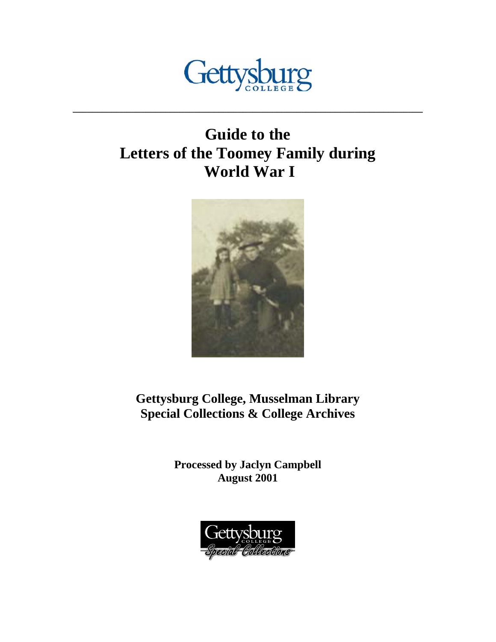

**\_\_\_\_\_\_\_\_\_\_\_\_\_\_\_\_\_\_\_\_\_\_\_\_\_\_\_\_\_\_\_\_\_\_\_\_\_\_\_\_\_\_\_\_\_\_\_\_\_\_\_\_\_\_\_\_\_\_\_\_\_\_\_\_\_\_\_\_\_\_\_\_** 

## **Guide to the Letters of the Toomey Family during World War I**



**Gettysburg College, Musselman Library Special Collections & College Archives** 

> **Processed by Jaclyn Campbell August 2001**

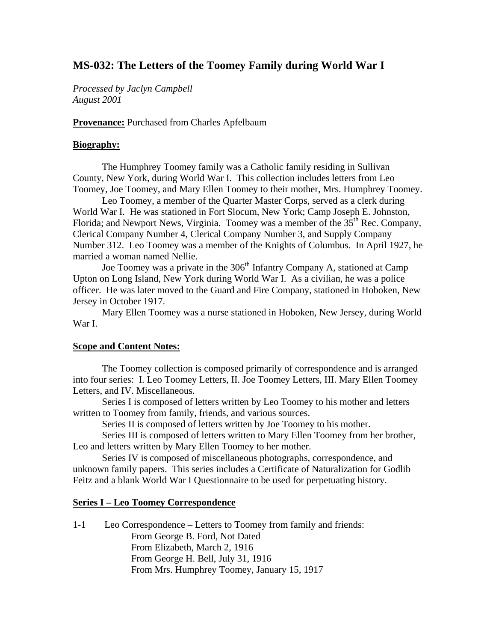## **MS-032: The Letters of the Toomey Family during World War I**

*Processed by Jaclyn Campbell August 2001*

**Provenance:** Purchased from Charles Apfelbaum

## **Biography:**

The Humphrey Toomey family was a Catholic family residing in Sullivan County, New York, during World War I. This collection includes letters from Leo Toomey, Joe Toomey, and Mary Ellen Toomey to their mother, Mrs. Humphrey Toomey.

 Leo Toomey, a member of the Quarter Master Corps, served as a clerk during World War I. He was stationed in Fort Slocum, New York; Camp Joseph E. Johnston, Florida; and Newport News, Virginia. Toomey was a member of the  $35<sup>th</sup>$  Rec. Company, Clerical Company Number 4, Clerical Company Number 3, and Supply Company Number 312. Leo Toomey was a member of the Knights of Columbus. In April 1927, he married a woman named Nellie.

Joe Toomey was a private in the 306<sup>th</sup> Infantry Company A, stationed at Camp Upton on Long Island, New York during World War I. As a civilian, he was a police officer. He was later moved to the Guard and Fire Company, stationed in Hoboken, New Jersey in October 1917.

 Mary Ellen Toomey was a nurse stationed in Hoboken, New Jersey, during World War I.

## **Scope and Content Notes:**

 The Toomey collection is composed primarily of correspondence and is arranged into four series: I. Leo Toomey Letters, II. Joe Toomey Letters, III. Mary Ellen Toomey Letters, and IV. Miscellaneous.

 Series I is composed of letters written by Leo Toomey to his mother and letters written to Toomey from family, friends, and various sources.

Series II is composed of letters written by Joe Toomey to his mother.

 Series III is composed of letters written to Mary Ellen Toomey from her brother, Leo and letters written by Mary Ellen Toomey to her mother.

 Series IV is composed of miscellaneous photographs, correspondence, and unknown family papers. This series includes a Certificate of Naturalization for Godlib Feitz and a blank World War I Questionnaire to be used for perpetuating history.

## **Series I – Leo Toomey Correspondence**

1-1 Leo Correspondence – Letters to Toomey from family and friends: From George B. Ford, Not Dated From Elizabeth, March 2, 1916 From George H. Bell, July 31, 1916 From Mrs. Humphrey Toomey, January 15, 1917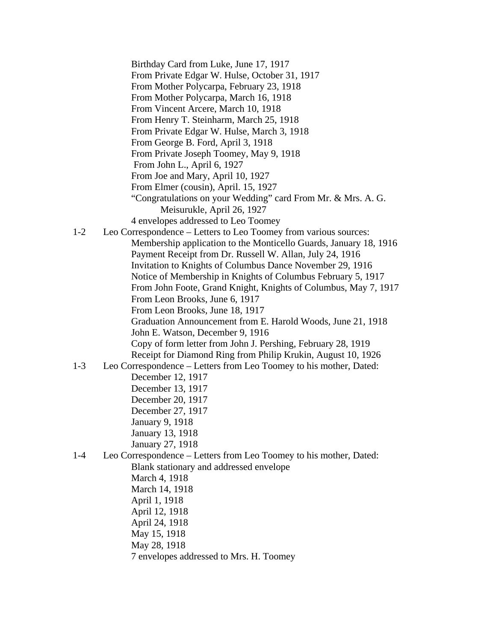Birthday Card from Luke, June 17, 1917 From Private Edgar W. Hulse, October 31, 1917 From Mother Polycarpa, February 23, 1918 From Mother Polycarpa, March 16, 1918 From Vincent Arcere, March 10, 1918 From Henry T. Steinharm, March 25, 1918 From Private Edgar W. Hulse, March 3, 1918 From George B. Ford, April 3, 1918 From Private Joseph Toomey, May 9, 1918 From John L., April 6, 1927 From Joe and Mary, April 10, 1927 From Elmer (cousin), April. 15, 1927 "Congratulations on your Wedding" card From Mr. & Mrs. A. G. Meisurukle, April 26, 1927 4 envelopes addressed to Leo Toomey 1-2 Leo Correspondence – Letters to Leo Toomey from various sources: Membership application to the Monticello Guards, January 18, 1916 Payment Receipt from Dr. Russell W. Allan, July 24, 1916 Invitation to Knights of Columbus Dance November 29, 1916 Notice of Membership in Knights of Columbus February 5, 1917 From John Foote, Grand Knight, Knights of Columbus, May 7, 1917 From Leon Brooks, June 6, 1917 From Leon Brooks, June 18, 1917 Graduation Announcement from E. Harold Woods, June 21, 1918 John E. Watson, December 9, 1916 Copy of form letter from John J. Pershing, February 28, 1919 Receipt for Diamond Ring from Philip Krukin, August 10, 1926 1-3 Leo Correspondence – Letters from Leo Toomey to his mother, Dated: December 12, 1917 December 13, 1917 December 20, 1917 December 27, 1917 January 9, 1918 January 13, 1918 January 27, 1918 1-4 Leo Correspondence – Letters from Leo Toomey to his mother, Dated: Blank stationary and addressed envelope March 4, 1918 March 14, 1918 April 1, 1918 April 12, 1918 April 24, 1918 May 15, 1918 May 28, 1918 7 envelopes addressed to Mrs. H. Toomey